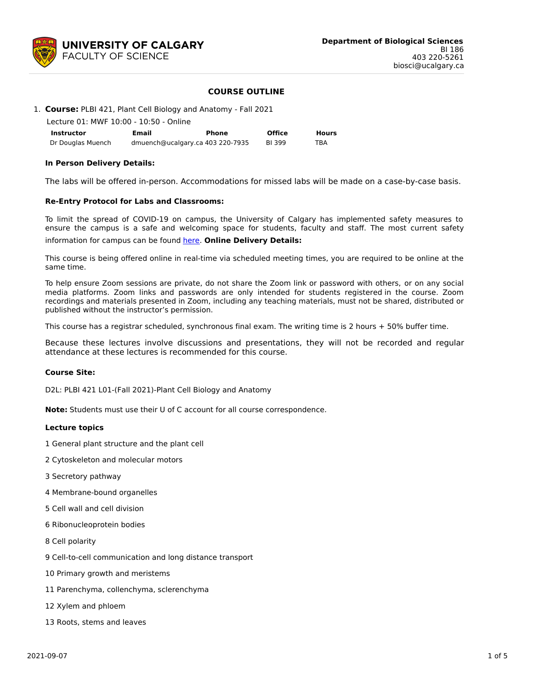

# **COURSE OUTLINE**

|  | 1. Course: PLBI 421, Plant Cell Biology and Anatomy - Fall 2021 |  |
|--|-----------------------------------------------------------------|--|

| Lecture 01: MWF 10:00 - 10:50 - Online |       |                                  |               |              |  |  |  |  |  |  |
|----------------------------------------|-------|----------------------------------|---------------|--------------|--|--|--|--|--|--|
| <b>Instructor</b>                      | Email | Phone                            | <b>Office</b> | <b>Hours</b> |  |  |  |  |  |  |
| Dr Douglas Muench                      |       | dmuench@ucalgary.ca 403 220-7935 | BI 399        | TBA          |  |  |  |  |  |  |

#### **In Person Delivery Details:**

The labs will be offered in-person. Accommodations for missed labs will be made on a case-by-case basis.

#### **Re-Entry Protocol for Labs and Classrooms:**

To limit the spread of COVID-19 on campus, the University of Calgary has implemented safety measures to ensure the campus is a safe and welcoming space for students, faculty and staff. The most current safety

#### information for campus can be found [here](https://www.ucalgary.ca/risk/emergency-management/covid-19-response/return-campus-safety). **Online Delivery Details:**

This course is being offered online in real-time via scheduled meeting times, you are required to be online at the same time.

To help ensure Zoom sessions are private, do not share the Zoom link or password with others, or on any social media platforms. Zoom links and passwords are only intended for students registered in the course. Zoom recordings and materials presented in Zoom, including any teaching materials, must not be shared, distributed or published without the instructor's permission.

This course has a registrar scheduled, synchronous final exam. The writing time is 2 hours + 50% buffer time.

Because these lectures involve discussions and presentations, they will not be recorded and regular attendance at these lectures is recommended for this course.

#### **Course Site:**

D2L: PLBI 421 L01-(Fall 2021)-Plant Cell Biology and Anatomy

**Note:** Students must use their U of C account for all course correspondence.

#### **Lecture topics**

- 1 General plant structure and the plant cell
- 2 Cytoskeleton and molecular motors
- 3 Secretory pathway
- 4 Membrane-bound organelles
- 5 Cell wall and cell division
- 6 Ribonucleoprotein bodies
- 8 Cell polarity
- 9 Cell-to-cell communication and long distance transport
- 10 Primary growth and meristems
- 11 Parenchyma, collenchyma, sclerenchyma
- 12 Xylem and phloem
- 13 Roots, stems and leaves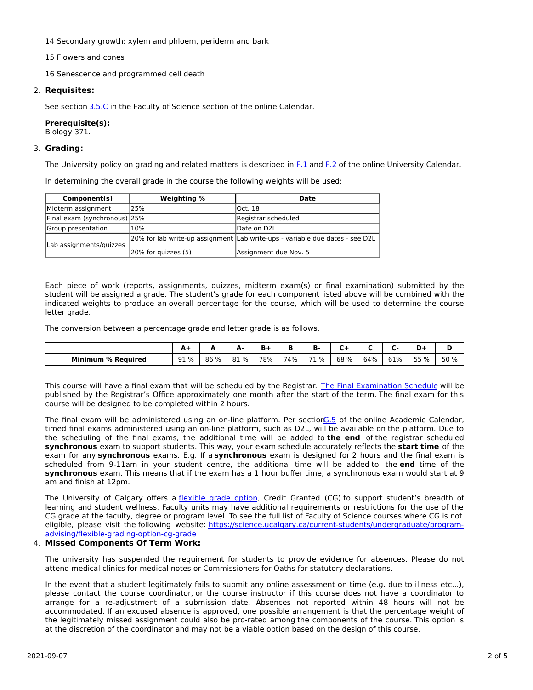- 14 Secondary growth: xylem and phloem, periderm and bark
- 15 Flowers and cones
- 16 Senescence and programmed cell death

# 2. **Requisites:**

See section [3.5.C](http://www.ucalgary.ca/pubs/calendar/current/sc-3-5.html) in the Faculty of Science section of the online Calendar.

# **Prerequisite(s):**

Biology 371.

## 3. **Grading:**

The University policy on grading and related matters is described in [F.1](http://www.ucalgary.ca/pubs/calendar/current/f-1.html) and [F.2](http://www.ucalgary.ca/pubs/calendar/current/f-2.html) of the online University Calendar.

In determining the overall grade in the course the following weights will be used:

| Component(s)                 | Weighting %         | Date                                                                           |  |  |  |  |
|------------------------------|---------------------|--------------------------------------------------------------------------------|--|--|--|--|
| Midterm assignment           | 25%                 | lOct. 18                                                                       |  |  |  |  |
| Final exam (synchronous) 25% |                     | Registrar scheduled                                                            |  |  |  |  |
| Group presentation           | 10%                 | lDate on D2L                                                                   |  |  |  |  |
| Lab assignments/guizzes      |                     | [20% for lab write-up assignment  Lab write-ups - variable due dates - see D2L |  |  |  |  |
|                              | 20% for quizzes (5) | Assignment due Nov. 5                                                          |  |  |  |  |

Each piece of work (reports, assignments, quizzes, midterm exam(s) or final examination) submitted by the student will be assigned a grade. The student's grade for each component listed above will be combined with the indicated weights to produce an overall percentage for the course, which will be used to determine the course letter grade.

The conversion between a percentage grade and letter grade is as follows.

|                           | А.<br>- | --   | . .  |     | n<br>в | ъ.      | __   |     | -   |                | ш<br>- |
|---------------------------|---------|------|------|-----|--------|---------|------|-----|-----|----------------|--------|
| <b>Minimum % Required</b> | 91 %    | 86 % | 81 % | 78% | 74%    | --<br>% | 68 % | 64% | 61% | ີ 5 % <u>-</u> | 50 %   |

This course will have a final exam that will be scheduled by the Registrar. The Final [Examination](https://www.ucalgary.ca/registrar/exams) Schedule will be published by the Registrar's Office approximately one month after the start of the term. The final exam for this course will be designed to be completed within 2 hours.

The final exam will be administered using an on-line platform. Per section G.5 of the online Academic Calendar, timed final exams administered using an on-line platform, such as D2L, will be available on the platform. Due to the scheduling of the final exams, the additional time will be added to **the end** of the registrar scheduled **synchronous** exam to support students. This way, your exam schedule accurately reflects the **start time** of the exam for any **synchronous** exams. E.g. If a **synchronous** exam is designed for 2 hours and the final exam is scheduled from 9-11am in your student centre, the additional time will be added to the **end** time of the **synchronous** exam. This means that if the exam has a 1 hour buffer time, a synchronous exam would start at 9 am and finish at 12pm.

The University of Calgary offers a [flexible](https://www.ucalgary.ca/pubs/calendar/current/f-1-3.html) grade option, Credit Granted (CG) to support student's breadth of learning and student wellness. Faculty units may have additional requirements or restrictions for the use of the CG grade at the faculty, degree or program level. To see the full list of Faculty of Science courses where CG is not eligible, please visit the following website: [https://science.ucalgary.ca/current-students/undergraduate/program](https://science.ucalgary.ca/current-students/undergraduate/program-advising/flexible-grading-option-cg-grade)advising/flexible-grading-option-cg-grade

## 4. **Missed Components Of Term Work:**

The university has suspended the requirement for students to provide evidence for absences. Please do not attend medical clinics for medical notes or Commissioners for Oaths for statutory declarations.

In the event that a student legitimately fails to submit any online assessment on time (e.g. due to illness etc...), please contact the course coordinator, or the course instructor if this course does not have a coordinator to arrange for a re-adjustment of a submission date. Absences not reported within 48 hours will not be accommodated. If an excused absence is approved, one possible arrangement is that the percentage weight of the legitimately missed assignment could also be pro-rated among the components of the course. This option is at the discretion of the coordinator and may not be a viable option based on the design of this course.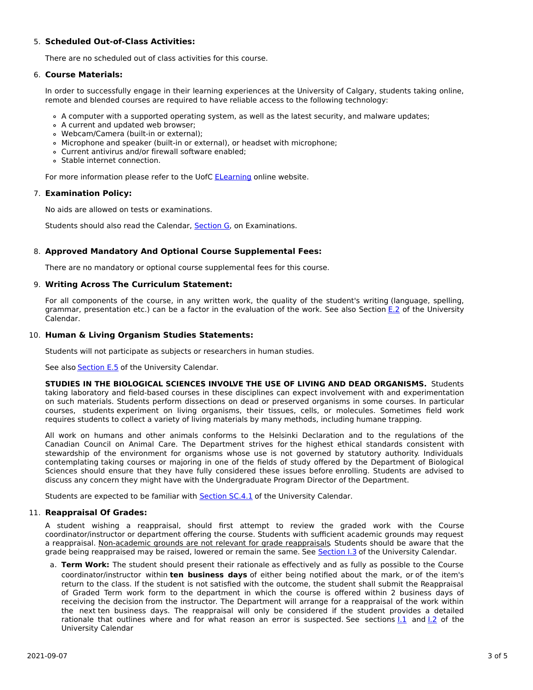# 5. **Scheduled Out-of-Class Activities:**

There are no scheduled out of class activities for this course.

## 6. **Course Materials:**

In order to successfully engage in their learning experiences at the University of Calgary, students taking online, remote and blended courses are required to have reliable access to the following technology:

- A computer with a supported operating system, as well as the latest security, and malware updates;
- A current and updated web browser;
- Webcam/Camera (built-in or external);
- Microphone and speaker (built-in or external), or headset with microphone;
- Current antivirus and/or firewall software enabled;
- Stable internet connection.

For more information please refer to the UofC **[ELearning](https://elearn.ucalgary.ca/technology-requirements-for-students)** online website.

#### 7. **Examination Policy:**

No aids are allowed on tests or examinations.

Students should also read the Calendar, [Section](http://www.ucalgary.ca/pubs/calendar/current/g.html) G, on Examinations.

## 8. **Approved Mandatory And Optional Course Supplemental Fees:**

There are no mandatory or optional course supplemental fees for this course.

## 9. **Writing Across The Curriculum Statement:**

For all components of the course, in any written work, the quality of the student's writing (language, spelling, grammar, presentation etc.) can be a factor in the evaluation of the work. See also Section [E.2](http://www.ucalgary.ca/pubs/calendar/current/e-2.html) of the University Calendar.

## 10. **Human & Living Organism Studies Statements:**

Students will not participate as subjects or researchers in human studies.

See also **[Section](http://www.ucalgary.ca/pubs/calendar/current/e-5.html) E.5** of the University Calendar.

**STUDIES IN THE BIOLOGICAL SCIENCES INVOLVE THE USE OF LIVING AND DEAD ORGANISMS.** Students taking laboratory and field-based courses in these disciplines can expect involvement with and experimentation on such materials. Students perform dissections on dead or preserved organisms in some courses. In particular courses, students experiment on living organisms, their tissues, cells, or molecules. Sometimes field work requires students to collect a variety of living materials by many methods, including humane trapping.

All work on humans and other animals conforms to the Helsinki Declaration and to the regulations of the Canadian Council on Animal Care. The Department strives for the highest ethical standards consistent with stewardship of the environment for organisms whose use is not governed by statutory authority. Individuals contemplating taking courses or majoring in one of the fields of study offered by the Department of Biological Sciences should ensure that they have fully considered these issues before enrolling. Students are advised to discuss any concern they might have with the Undergraduate Program Director of the Department.

Students are expected to be familiar with **[Section](http://www.ucalgary.ca/pubs/calendar/current/sc-4-1.html) SC.4.1** of the University Calendar.

## 11. **Reappraisal Of Grades:**

A student wishing a reappraisal, should first attempt to review the graded work with the Course coordinator/instructor or department offering the course. Students with sufficient academic grounds may request a reappraisal. Non-academic grounds are not relevant for grade reappraisals. Students should be aware that the grade being reappraised may be raised, lowered or remain the same. See [Section](http://www.ucalgary.ca/pubs/calendar/current/i-3.html) I.3 of the University Calendar.

a. **Term Work:** The student should present their rationale as effectively and as fully as possible to the Course coordinator/instructor within **ten business days** of either being notified about the mark, or of the item's return to the class. If the student is not satisfied with the outcome, the student shall submit the Reappraisal of Graded Term work form to the department in which the course is offered within 2 business days of receiving the decision from the instructor. The Department will arrange for a reappraisal of the work within the next ten business days. The reappraisal will only be considered if the student provides a detailed rationale that outlines where and for what reason an error is suspected. See sections [I.1](http://www.ucalgary.ca/pubs/calendar/current/i-1.html) and [I.2](http://www.ucalgary.ca/pubs/calendar/current/i-2.html) of the University Calendar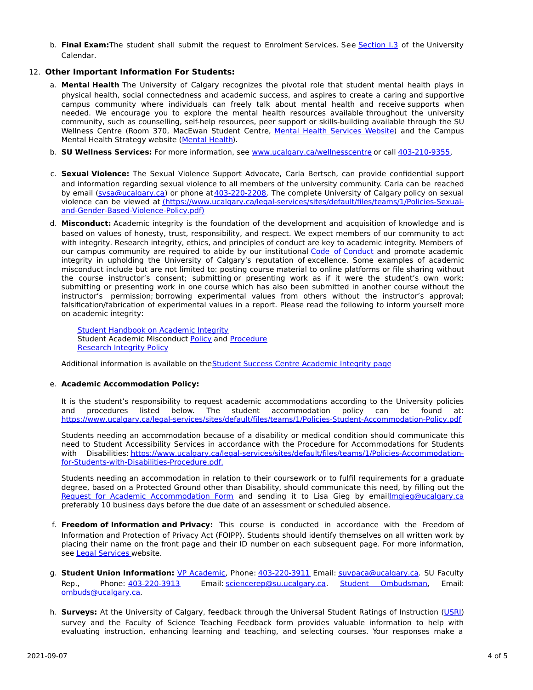b. **Final Exam:**The student shall submit the request to Enrolment Services. See [Section](http://www.ucalgary.ca/pubs/calendar/current/i-3.html) I.3 of the University Calendar.

# 12. **Other Important Information For Students:**

- a. **Mental Health** The University of Calgary recognizes the pivotal role that student mental health plays in physical health, social connectedness and academic success, and aspires to create a caring and supportive campus community where individuals can freely talk about mental health and receive supports when needed. We encourage you to explore the mental health resources available throughout the university community, such as counselling, self-help resources, peer support or skills-building available through the SU Wellness Centre (Room 370, MacEwan Student Centre, Mental Health [Services](https://www.ucalgary.ca/wellnesscentre/services/mental-health-services) Website) and the Campus Mental Health Strategy website [\(Mental](http://www.ucalgary.ca/mentalhealth) Health).
- b. **SU Wellness Services:** For more information, see [www.ucalgary.ca/wellnesscentre](http://www.ucalgary.ca/wellnesscentre) or call [403-210-9355.](tel:4032109355)
- c. **Sexual Violence:** The Sexual Violence Support Advocate, Carla Bertsch, can provide confidential support and information regarding sexual violence to all members of the university community. Carla can be reached by email [\(svsa@ucalgary.ca](mailto:svsa@ucalgary.ca)) or phone at[403-220-2208](tel:4032202208). The complete University of Calgary policy on sexual violence can be viewed at [\(https://www.ucalgary.ca/legal-services/sites/default/files/teams/1/Policies-Sexual](https://www.ucalgary.ca/legal-services/sites/default/files/teams/1/Policies-Sexual-and-Gender-Based-Violence-Policy.pdf)and-Gender-Based-Violence-Policy.pdf)
- d. **Misconduct:** Academic integrity is the foundation of the development and acquisition of knowledge and is based on values of honesty, trust, responsibility, and respect. We expect members of our community to act with integrity. Research integrity, ethics, and principles of conduct are key to academic integrity. Members of our campus community are required to abide by our institutional Code of [Conduct](https://www.ucalgary.ca/legal-services/sites/default/files/teams/1/Policies-Code-of-Conduct.pdf) and promote academic integrity in upholding the University of Calgary's reputation of excellence. Some examples of academic misconduct include but are not limited to: posting course material to online platforms or file sharing without the course instructor's consent; submitting or presenting work as if it were the student's own work; submitting or presenting work in one course which has also been submitted in another course without the instructor's permission; borrowing experimental values from others without the instructor's approval; falsification/fabrication of experimental values in a report. Please read the following to inform yourself more on academic integrity:

**Student [Handbook](https://www.ucalgary.ca/live-uc-ucalgary-site/sites/default/files/teams/9/AI-Student-handbook-1.pdf) on Academic Integrity** Student Academic Misconduct [Policy](https://www.ucalgary.ca/legal-services/sites/default/files/teams/1/Policies-Student-Academic-Misconduct-Policy.pdf) and [Procedure](https://www.ucalgary.ca/legal-services/sites/default/files/teams/1/Policies-Student-Academic-Misconduct-Procedure.pdf) [Research](https://www.ucalgary.ca/legal-services/sites/default/files/teams/1/Policies-Research-Integrity-Policy.pdf) Integrity Policy

Additional information is available on theStudent Success Centre [Academic](https://ucalgary.ca/student-services/student-success/learning/academic-integrity) Integrity page

## e. **Academic Accommodation Policy:**

It is the student's responsibility to request academic accommodations according to the University policies and procedures listed below. The student accommodation policy can be found at: <https://www.ucalgary.ca/legal-services/sites/default/files/teams/1/Policies-Student-Accommodation-Policy.pdf>

Students needing an accommodation because of a disability or medical condition should communicate this need to Student Accessibility Services in accordance with the Procedure for Accommodations for Students with Disabilities: [https://www.ucalgary.ca/legal-services/sites/default/files/teams/1/Policies-Accommodation](https://www.ucalgary.ca/legal-services/sites/default/files/teams/1/Policies-Accommodation-for-Students-with-Disabilities-Procedure.pdf)for-Students-with-Disabilities-Procedure.pdf.

Students needing an accommodation in relation to their coursework or to fulfil requirements for a graduate degree, based on a Protected Ground other than Disability, should communicate this need, by filling out the Request for Academic [Accommodation](https://science.ucalgary.ca/sites/default/files/teams/1/request-accommodation-academic-courses.pdf) Form and sending it to Lisa Gieg by emai[llmgieg@ucalgary.ca](mailto:lmgieg@ucalgary.ca) preferably 10 business days before the due date of an assessment or scheduled absence.

- f. **Freedom of Information and Privacy:** This course is conducted in accordance with the Freedom of Information and Protection of Privacy Act (FOIPP). Students should identify themselves on all written work by placing their name on the front page and their ID number on each subsequent page. For more information, see Legal [Services](https://www.ucalgary.ca/legal-services/access-information-privacy) website.
- g. **Student Union Information:** VP [Academic](http://www.su.ucalgary.ca/contact), Phone: [403-220-3911](tel:4032203911) Email: [suvpaca@ucalgary.ca](mailto:suvpaca@ucalgary.ca). SU Faculty Rep., Phone: [403-220-3913](tel:4032203913) Email: [sciencerep@su.ucalgary.ca](mailto:sciencerep@su.ucalgary.ca). Student [Ombudsman](https://www.ucalgary.ca/ombuds/), Email: [ombuds@ucalgary.ca](mailto:%20ombuds@ucalgary.ca).
- h. **Surveys:** At the University of Calgary, feedback through the Universal Student Ratings of Instruction [\(USRI](http://www.ucalgary.ca/usri)) survey and the Faculty of Science Teaching Feedback form provides valuable information to help with evaluating instruction, enhancing learning and teaching, and selecting courses. Your responses make a